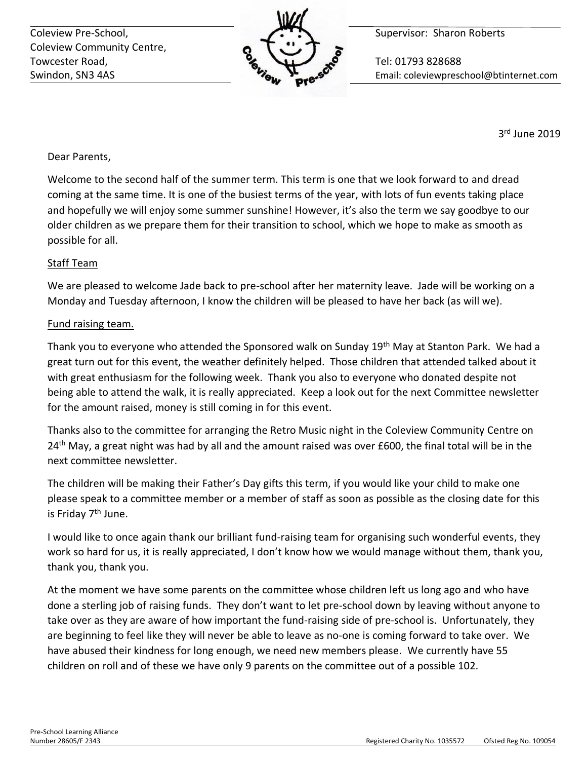Coleview Pre-School, **Supervisor: Sharon Roberts** Coleview Pre-School, Coleview Community Centre, Towcester Road, **The Contract of Contract Contract Contract Contract Contract Contract Contract Contract Contract Contract Contract Contract Contract Contract Contract Contract Contract Contract Contract Contract Contract** 



Swindon, SN3 4AS Email: coleviewpreschool@btinternet.com

3 rd June 2019

# Dear Parents,

Welcome to the second half of the summer term. This term is one that we look forward to and dread coming at the same time. It is one of the busiest terms of the year, with lots of fun events taking place and hopefully we will enjoy some summer sunshine! However, it's also the term we say goodbye to our older children as we prepare them for their transition to school, which we hope to make as smooth as possible for all.

# Staff Team

We are pleased to welcome Jade back to pre-school after her maternity leave. Jade will be working on a Monday and Tuesday afternoon, I know the children will be pleased to have her back (as will we).

## Fund raising team.

Thank you to everyone who attended the Sponsored walk on Sunday 19th May at Stanton Park. We had a great turn out for this event, the weather definitely helped. Those children that attended talked about it with great enthusiasm for the following week. Thank you also to everyone who donated despite not being able to attend the walk, it is really appreciated. Keep a look out for the next Committee newsletter for the amount raised, money is still coming in for this event.

Thanks also to the committee for arranging the Retro Music night in the Coleview Community Centre on 24<sup>th</sup> May, a great night was had by all and the amount raised was over £600, the final total will be in the next committee newsletter.

The children will be making their Father's Day gifts this term, if you would like your child to make one please speak to a committee member or a member of staff as soon as possible as the closing date for this is Friday 7<sup>th</sup> June.

I would like to once again thank our brilliant fund-raising team for organising such wonderful events, they work so hard for us, it is really appreciated, I don't know how we would manage without them, thank you, thank you, thank you.

At the moment we have some parents on the committee whose children left us long ago and who have done a sterling job of raising funds. They don't want to let pre-school down by leaving without anyone to take over as they are aware of how important the fund-raising side of pre-school is. Unfortunately, they are beginning to feel like they will never be able to leave as no-one is coming forward to take over. We have abused their kindness for long enough, we need new members please. We currently have 55 children on roll and of these we have only 9 parents on the committee out of a possible 102.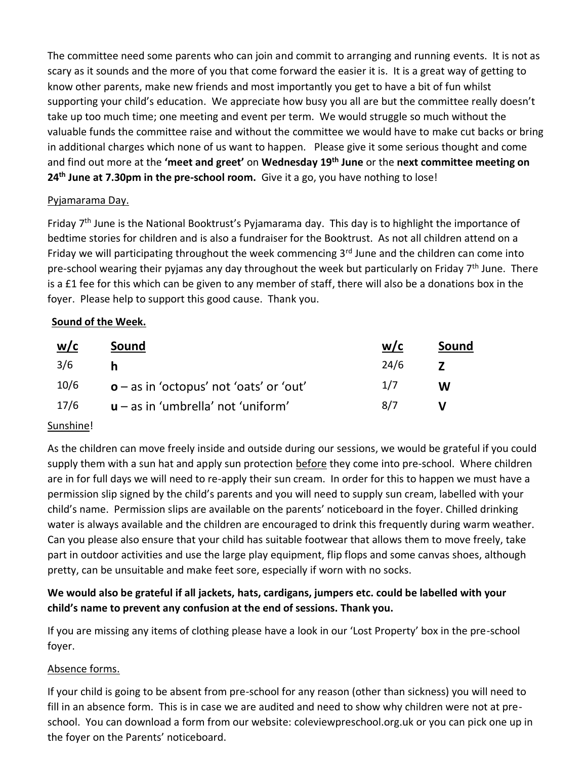The committee need some parents who can join and commit to arranging and running events. It is not as scary as it sounds and the more of you that come forward the easier it is. It is a great way of getting to know other parents, make new friends and most importantly you get to have a bit of fun whilst supporting your child's education. We appreciate how busy you all are but the committee really doesn't take up too much time; one meeting and event per term. We would struggle so much without the valuable funds the committee raise and without the committee we would have to make cut backs or bring in additional charges which none of us want to happen. Please give it some serious thought and come and find out more at the **'meet and greet'** on **Wednesday 19th June** or the **next committee meeting on 24th June at 7.30pm in the pre-school room.** Give it a go, you have nothing to lose!

## Pyjamarama Day.

Friday 7th June is the National Booktrust's Pyjamarama day. This day is to highlight the importance of bedtime stories for children and is also a fundraiser for the Booktrust. As not all children attend on a Friday we will participating throughout the week commencing  $3<sup>rd</sup>$  June and the children can come into pre-school wearing their pyjamas any day throughout the week but particularly on Friday 7<sup>th</sup> June. There is a £1 fee for this which can be given to any member of staff, there will also be a donations box in the foyer. Please help to support this good cause. Thank you.

# **Sound of the Week.**

| w/c  | Sound                                     | W/C  | Sound |
|------|-------------------------------------------|------|-------|
| 3/6  |                                           | 24/6 |       |
| 10/6 | $o$ – as in 'octopus' not 'oats' or 'out' | 1/7  | W     |
| 17/6 | $u - as$ in 'umbrella' not 'uniform'      | 8/7  |       |

# Sunshine!

As the children can move freely inside and outside during our sessions, we would be grateful if you could supply them with a sun hat and apply sun protection before they come into pre-school. Where children are in for full days we will need to re-apply their sun cream. In order for this to happen we must have a permission slip signed by the child's parents and you will need to supply sun cream, labelled with your child's name. Permission slips are available on the parents' noticeboard in the foyer. Chilled drinking water is always available and the children are encouraged to drink this frequently during warm weather. Can you please also ensure that your child has suitable footwear that allows them to move freely, take part in outdoor activities and use the large play equipment, flip flops and some canvas shoes, although pretty, can be unsuitable and make feet sore, especially if worn with no socks.

# **We would also be grateful if all jackets, hats, cardigans, jumpers etc. could be labelled with your child's name to prevent any confusion at the end of sessions. Thank you.**

If you are missing any items of clothing please have a look in our 'Lost Property' box in the pre-school foyer.

# Absence forms.

If your child is going to be absent from pre-school for any reason (other than sickness) you will need to fill in an absence form. This is in case we are audited and need to show why children were not at preschool. You can download a form from our website: coleviewpreschool.org.uk or you can pick one up in the foyer on the Parents' noticeboard.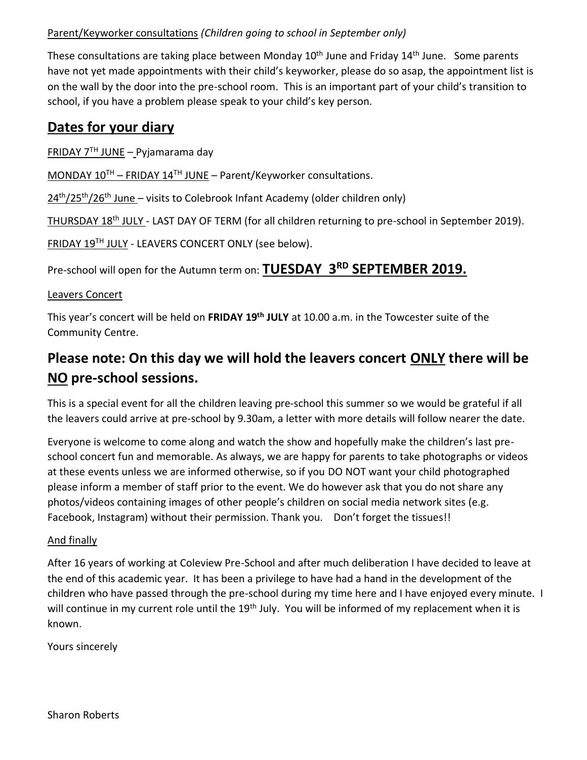## Parent/Keyworker consultations *(Children going to school in September only)*

These consultations are taking place between Monday 10<sup>th</sup> June and Friday 14<sup>th</sup> June. Some parents have not yet made appointments with their child's keyworker, please do so asap, the appointment list is on the wall by the door into the pre-school room. This is an important part of your child's transition to school, if you have a problem please speak to your child's key person.

# **Dates for your diary**

FRIDAY  $7<sup>TH</sup>$  JUNE – Pyjamarama day

MONDAY  $10^{TH}$  – FRIDAY  $14^{TH}$  JUNE – Parent/Keyworker consultations.

24<sup>th</sup>/25<sup>th</sup>/26<sup>th</sup> June - visits to Colebrook Infant Academy (older children only)

THURSDAY 18<sup>th</sup> JULY - LAST DAY OF TERM (for all children returning to pre-school in September 2019).

FRIDAY 19TH JULY - LEAVERS CONCERT ONLY (see below).

Pre-school will open for the Autumn term on: **TUESDAY 3RD SEPTEMBER 2019.**

#### Leavers Concert

This year's concert will be held on **FRIDAY 19th JULY** at 10.00 a.m. in the Towcester suite of the Community Centre.

# **Please note: On this day we will hold the leavers concert ONLY there will be NO pre-school sessions.**

This is a special event for all the children leaving pre-school this summer so we would be grateful if all the leavers could arrive at pre-school by 9.30am, a letter with more details will follow nearer the date.

Everyone is welcome to come along and watch the show and hopefully make the children's last preschool concert fun and memorable. As always, we are happy for parents to take photographs or videos at these events unless we are informed otherwise, so if you DO NOT want your child photographed please inform a member of staff prior to the event. We do however ask that you do not share any photos/videos containing images of other people's children on social media network sites (e.g. Facebook, Instagram) without their permission. Thank you. Don't forget the tissues!!

## And finally

After 16 years of working at Coleview Pre-School and after much deliberation I have decided to leave at the end of this academic year. It has been a privilege to have had a hand in the development of the children who have passed through the pre-school during my time here and I have enjoyed every minute. I will continue in my current role until the 19<sup>th</sup> July. You will be informed of my replacement when it is known.

Yours sincerely